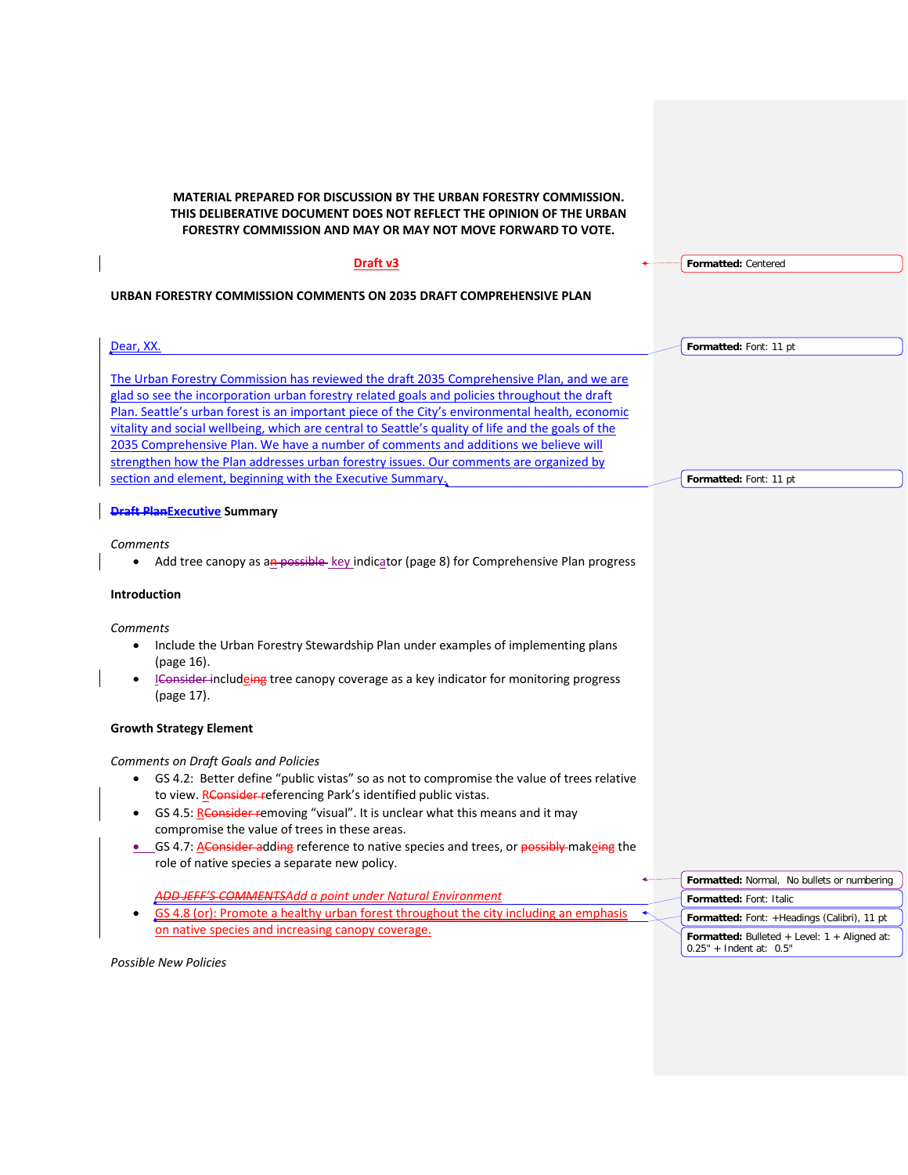**MATERIAL PREPARED FOR DISCUSSION BY THE URBAN FORESTRY COMMISSION. THIS DELIBERATIVE DOCUMENT DOES NOT REFLECT THE OPINION OF THE URBAN FORESTRY COMMISSION AND MAY OR MAY NOT MOVE FORWARD TO VOTE.**

| Draft v3                                                                                                                                                                                        | Formatted: Centered                                                         |
|-------------------------------------------------------------------------------------------------------------------------------------------------------------------------------------------------|-----------------------------------------------------------------------------|
|                                                                                                                                                                                                 |                                                                             |
| URBAN FORESTRY COMMISSION COMMENTS ON 2035 DRAFT COMPREHENSIVE PLAN                                                                                                                             |                                                                             |
|                                                                                                                                                                                                 |                                                                             |
| Dear, XX.                                                                                                                                                                                       | Formatted: Font: 11 pt                                                      |
|                                                                                                                                                                                                 |                                                                             |
| The Urban Forestry Commission has reviewed the draft 2035 Comprehensive Plan, and we are                                                                                                        |                                                                             |
| glad so see the incorporation urban forestry related goals and policies throughout the draft<br>Plan. Seattle's urban forest is an important piece of the City's environmental health, economic |                                                                             |
| vitality and social wellbeing, which are central to Seattle's quality of life and the goals of the                                                                                              |                                                                             |
| 2035 Comprehensive Plan. We have a number of comments and additions we believe will                                                                                                             |                                                                             |
| strengthen how the Plan addresses urban forestry issues. Our comments are organized by                                                                                                          |                                                                             |
| section and element, beginning with the Executive Summary.                                                                                                                                      | Formatted: Font: 11 pt                                                      |
|                                                                                                                                                                                                 |                                                                             |
| <b>Draft PlanExecutive Summary</b>                                                                                                                                                              |                                                                             |
| Comments                                                                                                                                                                                        |                                                                             |
| Add tree canopy as an possible-key indicator (page 8) for Comprehensive Plan progress                                                                                                           |                                                                             |
|                                                                                                                                                                                                 |                                                                             |
| <b>Introduction</b>                                                                                                                                                                             |                                                                             |
| Comments                                                                                                                                                                                        |                                                                             |
| Include the Urban Forestry Stewardship Plan under examples of implementing plans<br>$\bullet$                                                                                                   |                                                                             |
| (page 16).                                                                                                                                                                                      |                                                                             |
| IConsider includeing tree canopy coverage as a key indicator for monitoring progress                                                                                                            |                                                                             |
| (page 17).                                                                                                                                                                                      |                                                                             |
|                                                                                                                                                                                                 |                                                                             |
| <b>Growth Strategy Element</b>                                                                                                                                                                  |                                                                             |
| <b>Comments on Draft Goals and Policies</b>                                                                                                                                                     |                                                                             |
| GS 4.2: Better define "public vistas" so as not to compromise the value of trees relative                                                                                                       |                                                                             |
| to view. RConsider referencing Park's identified public vistas.                                                                                                                                 |                                                                             |
| GS 4.5: Rensider removing "visual". It is unclear what this means and it may                                                                                                                    |                                                                             |
| compromise the value of trees in these areas.                                                                                                                                                   |                                                                             |
| • GS 4.7: A Consider adding reference to native species and trees, or possibly makeing the                                                                                                      |                                                                             |
| role of native species a separate new policy.                                                                                                                                                   |                                                                             |
| <b>ADD JEFF'S COMMENTSAdd a point under Natural Environment</b>                                                                                                                                 | Formatted: Normal, No bullets or numbering                                  |
| GS 4.8 (or): Promote a healthy urban forest throughout the city including an emphasis                                                                                                           | Formatted: Font: Italic                                                     |
| on native species and increasing canopy coverage.                                                                                                                                               | Formatted: Font: +Headings (Calibri), 11 pt                                 |
|                                                                                                                                                                                                 | Formatted: Bulleted + Level: 1 + Aligned at:<br>$0.25" +$ Indent at: $0.5"$ |
| Possible New Policies                                                                                                                                                                           |                                                                             |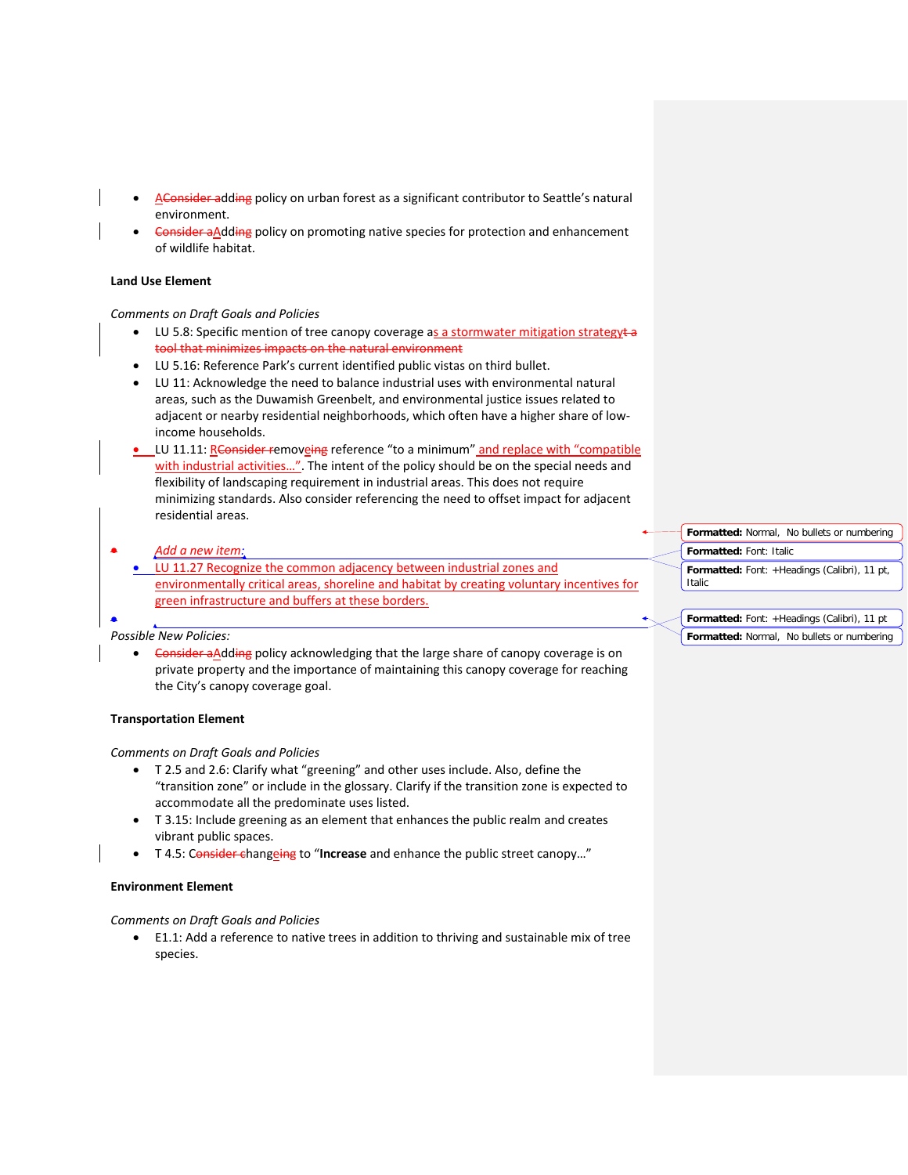- AConsider adding policy on urban forest as a significant contributor to Seattle's natural environment.
- Consider aAdding policy on promoting native species for protection and enhancement of wildlife habitat.

#### **Land Use Element**

#### *Comments on Draft Goals and Policies*

- LU 5.8: Specific mention of tree canopy coverage as a stormwater mitigation strategyta tool that minimizes impacts on the natural environment
- LU 5.16: Reference Park's current identified public vistas on third bullet.
- LU 11: Acknowledge the need to balance industrial uses with environmental natural areas, such as the Duwamish Greenbelt, and environmental justice issues related to adjacent or nearby residential neighborhoods, which often have a higher share of lowincome households.
- LU 11.11: Rensider removeing reference "to a minimum" and replace with "compatible with industrial activities…". The intent of the policy should be on the special needs and flexibility of landscaping requirement in industrial areas. This does not require minimizing standards. Also consider referencing the need to offset impact for adjacent residential areas.
	- *Add a new item:* • LU 11.27 Recognize the common adjacency between industrial zones and environmentally critical areas, shoreline and habitat by creating voluntary incentives for green infrastructure and buffers at these borders. **Formatted:** Font: Italic Italic

### *Possible New Policies:*

•

• Consider aAdding policy acknowledging that the large share of canopy coverage is on private property and the importance of maintaining this canopy coverage for reaching the City's canopy coverage goal.

# **Transportation Element**

# *Comments on Draft Goals and Policies*

- T 2.5 and 2.6: Clarify what "greening" and other uses include. Also, define the "transition zone" or include in the glossary. Clarify if the transition zone is expected to accommodate all the predominate uses listed.
- T 3.15: Include greening as an element that enhances the public realm and creates vibrant public spaces.
- T 4.5: Consider changeing to "**Increase** and enhance the public street canopy…"

# **Environment Element**

#### *Comments on Draft Goals and Policies*

• E1.1: Add a reference to native trees in addition to thriving and sustainable mix of tree species.

| <b>Formatted:</b> Normal, No bullets or numbering      |  |  |  |  |
|--------------------------------------------------------|--|--|--|--|
| Formatted: Font: Italic                                |  |  |  |  |
| Formatted: Font: +Headings (Calibri), 11 pt,<br>Italic |  |  |  |  |
|                                                        |  |  |  |  |

# **Formatted:** Font: +Headings (Calibri), 11 pt **Formatted:** Normal, No bullets or numbering